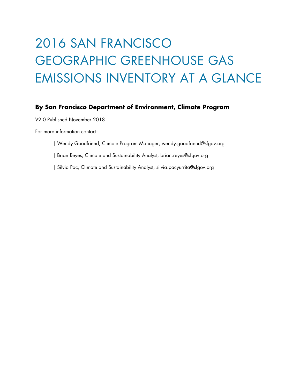# 2016 SAN FRANCISCO GEOGRAPHIC GREENHOUSE GAS EMISSIONS INVENTORY AT A GLANCE

### **By San Francisco Department of Environment, Climate Program**

V2.0 Published November 2018

For more information contact:

- | Wendy Goodfriend, Climate Program Manager, wendy.goodfriend@sfgov.org
- | Brian Reyes, Climate and Sustainability Analyst, brian.reyes@sfgov.org
- | Silvia Pac, Climate and Sustainability Analyst, silvia.pacyurrita@sfgov.org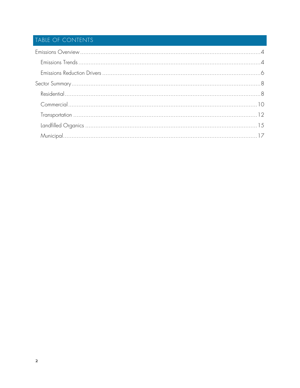## TABLE OF CONTENTS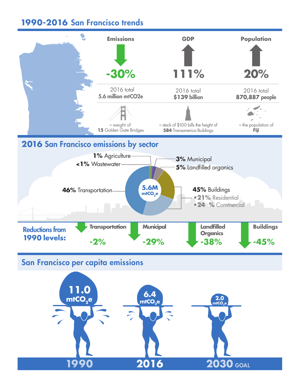# **1990-2016** San Francisco trends

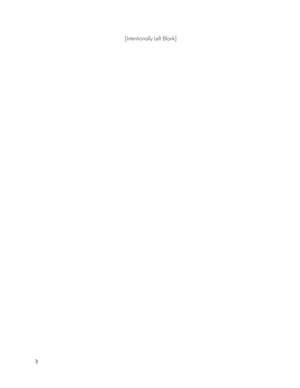[Intentionally Left Blank]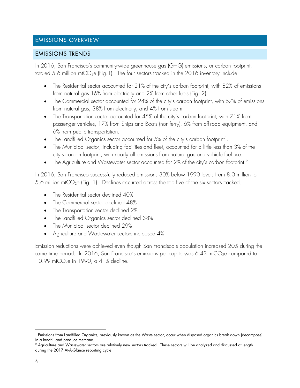### <span id="page-4-0"></span>EMISSIONS OVERVIEW

### EMISSIONS TRENDS

In 2016, San Francisco's community-wide greenhouse gas (GHG) emissions, or carbon footprint, totaled 5.6 million mtCO<sub>2</sub>e (Fig. 1). The four sectors tracked in the 2016 inventory include:

- The Residential sector accounted for 21% of the city's carbon footprint, with 82% of emissions from natural gas 16% from electricity and 2% from other fuels (Fig. 2).
- The Commercial sector accounted for 24% of the city's carbon footprint, with 57% of emissions from natural gas, 38% from electricity, and 4% from steam
- The Transportation sector accounted for 45% of the city's carbon footprint, with 71% from passenger vehicles, 17% from Ships and Boats (non-ferry), 6% from off-road equipment, and 6% from public transportation.
- The Landfilled Organics sector accounted for 5% of the city's carbon footprint<sup>1</sup>.
- The Municipal sector, including facilities and fleet, accounted for a little less than 3% of the city's carbon footprint, with nearly all emissions from natural gas and vehicle fuel use.
- The Agriculture and Wastewater sector accounted for [2](#page-4-2)% of the city's carbon footprint.<sup>2</sup>

In 2016, San Francisco successfully reduced emissions 30% below 1990 levels from 8.0 million to 5.6 million mtCO2e (Fig. 1). Declines occurred across the top five of the six sectors tracked.

- The Residential sector declined 40%
- The Commercial sector declined 48%
- The Transportation sector declined 2%
- The Landfilled Organics sector declined 38%
- The Municipal sector declined 29%
- Agriculture and Wastewater sectors increased 4%

Emission reductions were achieved even though San Francisco's population increased 20% during the same time period. In 2016, San Francisco's emissions per capita was 6.43 mtCO<sub>2</sub>e compared to 10.99 mtCO<sub>2</sub>e in 1990, a 41% decline.

 $\overline{\phantom{a}}$ 

<span id="page-4-1"></span><sup>1</sup> Emissions from Landfilled Organics, previously known as the Waste sector, occur when disposed organics break down (decompose) in a landfill and produce methane.

<span id="page-4-2"></span><sup>&</sup>lt;sup>2</sup> Agriculture and Wastewater sectors are relatively new sectors tracked. These sectors will be analyzed and discussed at length during the 2017 At-A-Glance reporting cycle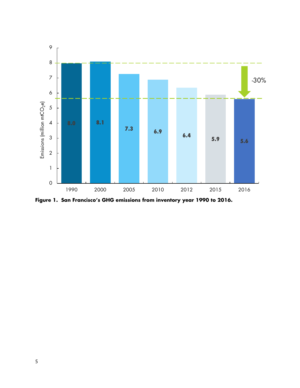

**Figure 1. San Francisco's GHG emissions from inventory year 1990 to 2016.**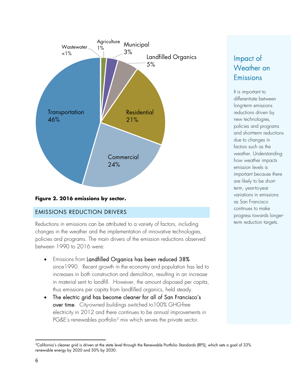<span id="page-6-0"></span>

### **Figure 2. 2016 emissions by sector.**

### EMISSIONS REDUCTION DRIVERS

Reductions in emissions can be attributed to a variety of factors, including changes in the weather and the implementation of innovative technologies, policies and programs. The main drivers of the emission reductions observed between 1990 to 2016 were:

- Emissions from Landfilled Organics has been reduced 38% since1990. Recent growth in the economy and population has led to increases in both construction and demolition, resulting in an increase in material sent to landfill. However, the amount disposed per capita, thus emissions per capita from landfilled organics, held steady.
- The electric grid has become cleaner for all of San Francisco's over time. City-owned buildings switched to100% GHG-free electricity in 2012 and there continues to be annual improvements in PG&E's renewables portfolio<sup>[3](#page-6-1)</sup> mix which serves the private sector.

# Impact of Weather on Emissions

It is important to differentiate between long-term emissions reductions driven by new technologies, policies and programs and short-term reductions due to changes in factors such as the weather. Understanding how weather impacts emission levels is important because there are likely to be shortterm, year-to-year variations in emissions as San Francisco continues to make progress towards longerterm reduction targets.

<span id="page-6-1"></span> $\overline{a}$ 3California's cleaner grid is driven at the state level through the Renewable Portfolio Standards (RPS), which sets a goal of 33% renewable energy by 2020 and 50% by 2030.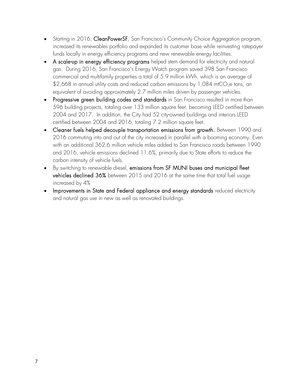- Starting in 2016, CleanPowerSF, San Francisco's Community Choice Aggregation program, increased its renewables portfolio and expanded its customer base while reinvesting ratepayer funds locally in energy efficiency programs and new renewable energy facilities.
- A scale-up in energy efficiency programs helped stem demand for electricity and natural gas. During 2016, San Francisco's Energy Watch program saved 398 San Francisco commercial and multifamily properties a total of 5.9 million kWh, which is an average of \$2,668 in annual utility costs and reduced carbon emissions by 1,084 mtCO<sub>2</sub>e tons, an equivalent of avoiding approximately 2.7 million miles driven by passenger vehicles.
- Progressive green building codes and standards in San Francisco resulted in more than 596 building projects, totaling over 133 million square feet, becoming LEED certified between 2004 and 2017. In addition, the City had 52 city-owned buildings and interiors LEED certified between 2004 and 2016, totaling 7.2 million square feet.
- Cleaner fuels helped decouple transportation emissions from growth. Between 1990 and 2016 commuting into and out of the city increased in parallel with a booming economy. Even with an additional 362.6 million vehicle miles added to San Francisco roads between 1990 and 2016, vehicle emissions declined 11.6%, primarily due to State efforts to reduce the carbon intensity of vehicle fuels.
- By switching to renewable diesel, emissions from SF MUNI buses and municipal fleet vehicles declined 36% between 2015 and 2016 at the same time that total fuel usage increased by 4%
- Improvements in State and Federal appliance and energy standards reduced electricity and natural gas use in new as well as renovated buildings.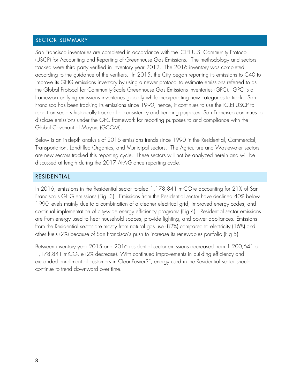#### <span id="page-8-0"></span>SECTOR SUMMARY

San Francisco inventories are completed in accordance with the ICLEI U.S. Community Protocol (USCP) for Accounting and Reporting of Greenhouse Gas Emissions. The methodology and sectors tracked were third party verified in inventory year 2012. The 2016 inventory was completed according to the guidance of the verifiers. In 2015, the City began reporting its emissions to C40 to improve its GHG emissions inventory by using a newer protocol to estimate emissions referred to as the Global Protocol for Community-Scale Greenhouse Gas Emissions Inventories (GPC). GPC is a framework unifying emissions inventories globally while incorporating new categories to track. San Francisco has been tracking its emissions since 1990; hence, it continues to use the ICLEI USCP to report on sectors historically tracked for consistency and trending purposes. San Francisco continues to disclose emissions under the GPC framework for reporting purposes to and compliance with the Global Covenant of Mayors (GCOM).

Below is an in-depth analysis of 2016 emissions trends since 1990 in the Residential, Commercial, Transportation, Landfilled Organics, and Municipal sectors. The Agriculture and Wastewater sectors are new sectors tracked this reporting cycle. These sectors will not be analyzed herein and will be discussed at length during the 2017 At-A-Glance reporting cycle.

### RESIDENTIAL

In 2016, emissions in the Residential sector totaled 1,178,841 mtCO<sub>2</sub>e accounting for 21% of San Francisco's GHG emissions (Fig. 3). Emissions from the Residential sector have declined 40% below 1990 levels mainly due to a combination of a cleaner electrical grid, improved energy codes, and continual implementation of city-wide energy efficiency programs (Fig 4). Residential sector emissions are from energy used to heat household spaces, provide lighting, and power appliances. Emissions from the Residential sector are mostly from natural gas use (82%) compared to electricity (16%) and other fuels (2%) because of San Francisco's push to increase its renewables portfolio (Fig 5).

Between inventory year 2015 and 2016 residential sector emissions decreased from 1,200,641to  $1,178,841$  mtCO<sub>2</sub> e (2% decrease). With continued improvements in building efficiency and expanded enrollment of customers in CleanPowerSF, energy used in the Residential sector should continue to trend downward over time.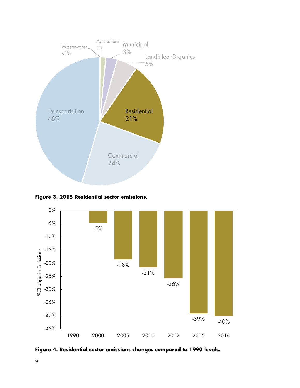

**Figure 3. 2015 Residential sector emissions.**



**Figure 4. Residential sector emissions changes compared to 1990 levels.**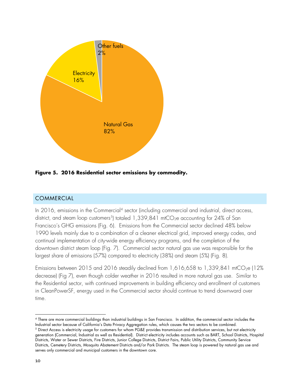<span id="page-10-0"></span>

**Figure 5. 2016 Residential sector emissions by commodity.**

### **COMMERCIAL**

In 2016, emissions in the Commercial<sup>[4](#page-10-1)</sup> sector (including commercial and industrial, direct access, district, and steam loop customers<sup>5</sup>) totaled 1,339,841 mtCO<sub>2</sub>e accounting for 24% of San Francisco's GHG emissions (Fig. 6). Emissions from the Commercial sector declined 48% below 1990 levels mainly due to a combination of a cleaner electrical grid, improved energy codes, and continual implementation of city-wide energy efficiency programs, and the completion of the downtown district steam loop (Fig. 7). Commercial sector natural gas use was responsible for the largest share of emissions (57%) compared to electricity (38%) and steam (5%) (Fig. 8).

Emissions between 2015 and 2016 steadily declined from 1,616,658 to 1,339,841 mtCO<sub>2</sub>e (12%) decrease) (Fig 7), even though colder weather in 2016 resulted in more natural gas use. Similar to the Residential sector, with continued improvements in building efficiency and enrollment of customers in CleanPowerSF, energy used in the Commercial sector should continue to trend downward over time.

<span id="page-10-1"></span><sup>4</sup> There are more commercial buildings than industrial buildings in San Francisco. In addition, the commercial sector includes the Industrial sector because of California's Data Privacy Aggregation rules, which causes the two sectors to be combined.

<span id="page-10-2"></span><sup>5</sup> Direct Access is electricity usage for customers for whom PG&E provides transmission and distribution services, but not electricity generation (Commercial, Industrial as well as Residential). District electricity includes accounts such as BART, School Districts, Hospital Districts, Water or Sewer Districts, Fire Districts, Junior College Districts, District Fairs, Public Utility Districts, Community Service Districts, Cemetery Districts, Mosquito Abatement Districts and/or Park Districts. The steam loop is powered by natural gas use and serves only commercial and municipal customers in the downtown core.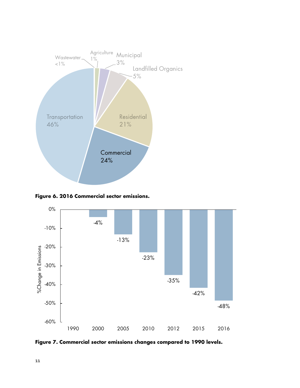

**Figure 6. 2016 Commercial sector emissions.**



**Figure 7. Commercial sector emissions changes compared to 1990 levels.**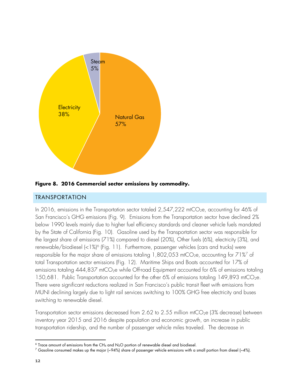<span id="page-12-0"></span>



### TRANSPORTATION

In 2016, emissions in the Transportation sector totaled  $2,547,222$  mtCO<sub>2</sub>e, accounting for 46% of San Francisco's GHG emissions (Fig. 9). Emissions from the Transportation sector have declined 2% below 1990 levels mainly due to higher fuel efficiency standards and cleaner vehicle fuels mandated by the State of California (Fig. 10). Gasoline used by the Transportation sector was responsible for the largest share of emissions (71%) compared to diesel (20%), Other fuels (6%), electricity (3%), and renewable/biodiesel (<1%)<sup>[6](#page-12-1)</sup> (Fig. 11). Furthermore, passenger vehicles (cars and trucks) were responsible for the major share of emissions totaling 1,802,053 mtCO<sub>2</sub>e, accounting for  $71\%$  $71\%$ <sup>7</sup> of total Transportation sector emissions (Fig. 12). Maritime Ships and Boats accounted for 17% of emissions totaling  $444,837$  mtCO<sub>2</sub>e while Off-road Equipment accounted for 6% of emissions totaling 150,681. Public Transportation accounted for the other 6% of emissions totaling 149,893 mtCO<sub>2</sub>e. There were significant reductions realized in San Francisco's public transit fleet with emissions from MUNI declining largely due to light rail services switching to 100% GHG free electricity and buses switching to renewable diesel.

Transportation sector emissions decreased from 2.62 to 2.55 million mtCO<sub>2</sub>e (3% decrease) between inventory year 2015 and 2016 despite population and economic growth, an increase in public transportation ridership, and the number of passenger vehicle miles traveled. The decrease in

<span id="page-12-1"></span> $6$  Trace amount of emissions from the CH<sub>4</sub> and N<sub>2</sub>O portion of renewable diesel and biodiesel.

<span id="page-12-2"></span><sup>&</sup>lt;sup>7</sup> Gasoline consumed makes up the major (~94%) share of passenger vehicle emissions with a small portion from diesel (~4%).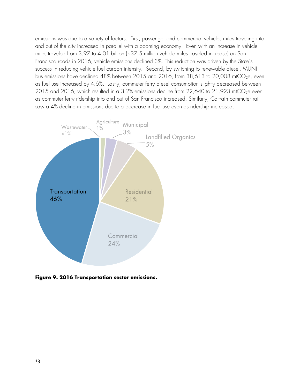emissions was due to a variety of factors. First, passenger and commercial vehicles miles traveling into and out of the city increased in parallel with a booming economy. Even with an increase in vehicle miles traveled from 3.97 to 4.01 billion (~37.5 million vehicle miles traveled increase) on San Francisco roads in 2016, vehicle emissions declined 3%. This reduction was driven by the State's success in reducing vehicle fuel carbon intensity. Second, by switching to renewable diesel, MUNI bus emissions have declined  $48\%$  between 2015 and 2016, from 38,613 to 20,008 mtCO<sub>2e</sub>, even as fuel use increased by 4.6%. Lastly, commuter ferry diesel consumption slightly decreased between 2015 and 2016, which resulted in a 3.2% emissions decline from 22,640 to 21,923 mtCO<sub>2</sub>e even as commuter ferry ridership into and out of San Francisco increased. Similarly, Caltrain commuter rail saw a 4% decline in emissions due to a decrease in fuel use even as ridership increased.



**Figure 9. 2016 Transportation sector emissions.**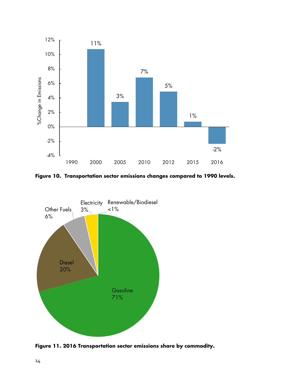

**Figure 10. Transportation sector emissions changes compared to 1990 levels.**



**Figure 11. 2016 Transportation sector emissions share by commodity.**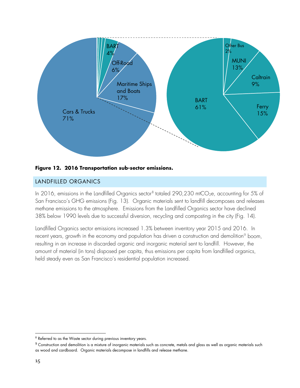<span id="page-15-0"></span>

#### **Figure 12. 2016 Transportation sub-sector emissions.**

### LANDFILLED ORGANICS

In 2016, emissions in the Landfilled Organics sector<sup>[8](#page-15-1)</sup> totaled 290,230 mtCO<sub>2</sub>e, accounting for 5% of San Francisco's GHG emissions (Fig. 13). Organic materials sent to landfill decomposes and releases methane emissions to the atmosphere. Emissions from the Landfilled Organics sector have declined 38% below 1990 levels due to successful diversion, recycling and composting in the city (Fig. 14).

Landfilled Organics sector emissions increased 1.3% between inventory year 2015 and 2016. In recent years, growth in the economy and population has driven a construction and demolition<sup>[9](#page-15-2)</sup> boom, resulting in an increase in discarded organic and inorganic material sent to landfill. However, the amount of material (in tons) disposed per capita, thus emissions per capita from landfilled organics, held steady even as San Francisco's residential population increased.

<span id="page-15-1"></span><sup>&</sup>lt;sup>8</sup> Referred to as the Waste sector during previous inventory years.

<span id="page-15-2"></span><sup>9</sup> Construction and demolition is a mixture of inorganic materials such as concrete, metals and glass as well as organic materials such as wood and cardboard. Organic materials decompose in landfills and release methane.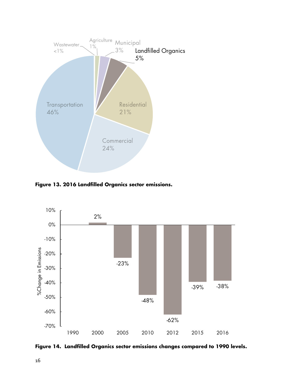

**Figure 13. 2016 Landfilled Organics sector emissions.**



**Figure 14. Landfilled Organics sector emissions changes compared to 1990 levels.**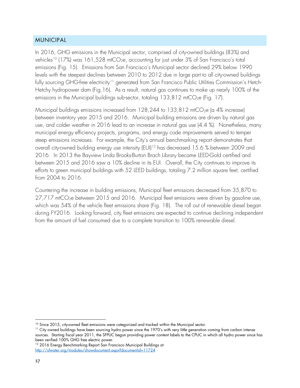### <span id="page-17-0"></span>MUNICIPAL

In 2016, GHG emissions in the Municipal sector, comprised of city-owned buildings (83%) and vehicles<sup>[10](#page-17-1)</sup> (17%) was 161,528 mtCO<sub>2</sub>e, accounting for just under 3% of San Francisco's total emissions (Fig. 15). Emissions from San Francisco's Municipal sector declined 29% below 1990 levels with the steepest declines between 2010 to 2012 due in large part to all city-owned buildings fully sourcing GHG-free electricity<sup>[11](#page-17-2)</sup> generated from San Francisco Public Utilities Commission's Hetch-Hetchy hydropower dam (Fig.16). As a result, natural gas continues to make up nearly 100% of the emissions in the Municipal buildings sub-sector, totaling  $133,812$  mtCO<sub>2</sub>e (Fig. 17).

Municipal buildings emissions increased from  $128,244$  to  $133,812$  mtCO<sub>2</sub>e (a 4% increase) between inventory year 2015 and 2016. Municipal building emissions are driven by natural gas use, and colder weather in 2016 lead to an increase in natural gas use (4.4 %). Nonetheless, many municipal energy efficiency projects, programs, and energy code improvements served to temper steep emissions increases. For example, the City's annual benchmarking report demonstrates that overall city-owned building energy use intensity (EUI)<sup>[12](#page-17-3)</sup> has decreased 15.6 % between 2009 and 2016. In 2013 the Bayview Linda Brooks-Burton Brach Library became LEED-Gold certified and between 2015 and 2016 saw a 10% decline in its EUI. Overall, the City continues to improve its efforts to green municipal buildings with 52 LEED buildings, totaling 7.2 million square feet, certified from 2004 to 2016.

Countering the increase in building emissions, Municipal fleet emissions decreased from 35,870 to  $27,717$  mtCO<sub>2</sub>e between 2015 and 2016. Municipal fleet emissions were driven by gasoline use, which was 54% of the vehicle fleet emissions share (Fig. 18). The roll out of renewable diesel began during FY2016. Looking forward, city fleet emissions are expected to continue declining independent from the amount of fuel consumed due to a complete transition to 100% renewable diesel.

<span id="page-17-1"></span><sup>&</sup>lt;sup>10</sup> Since 2015, city-owned fleet emissions were categorized and tracked within the Municipal sector.

<span id="page-17-2"></span><sup>&</sup>lt;sup>11</sup> City owned buildings have been sourcing hydro power since the 1970's with very little generation coming from carbon intense sources. Starting fiscal year 2011, the SFPUC begun providing power content labels to the CPUC in which all hydro power since has been verified 100% GHG free electric power.

<span id="page-17-3"></span><sup>&</sup>lt;sup>12</sup> 2016 Energy Benchmarking Report San Francisco Municipal Buildings at <http://sfwater.org/modules/showdocument.aspx?documentid=11724>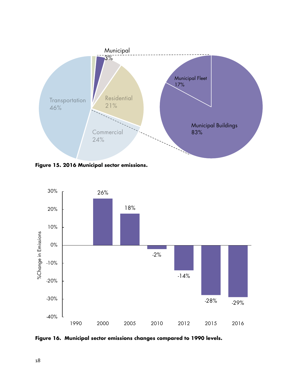

**Figure 15. 2016 Municipal sector emissions.**



**Figure 16. Municipal sector emissions changes compared to 1990 levels.**